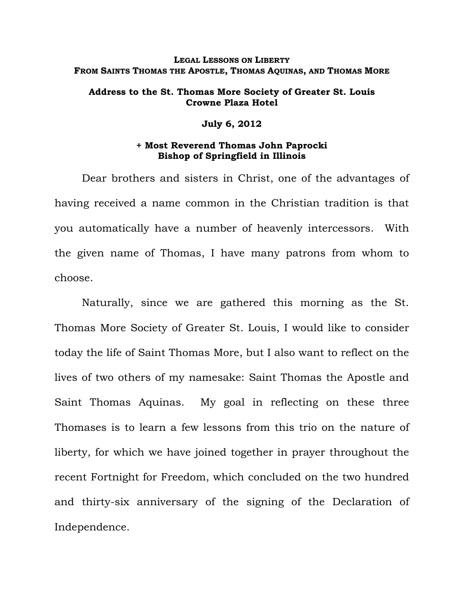### **LEGAL LESSONS ON LIBERTY FROM SAINTS THOMAS THE APOSTLE, THOMAS AQUINAS, AND THOMAS MORE**

## **Address to the St. Thomas More Society of Greater St. Louis Crowne Plaza Hotel**

#### **July 6, 2012**

## **+ Most Reverend Thomas John Paprocki Bishop of Springfield in Illinois**

Dear brothers and sisters in Christ, one of the advantages of having received a name common in the Christian tradition is that you automatically have a number of heavenly intercessors. With the given name of Thomas, I have many patrons from whom to choose.

Naturally, since we are gathered this morning as the St. Thomas More Society of Greater St. Louis, I would like to consider today the life of Saint Thomas More, but I also want to reflect on the lives of two others of my namesake: Saint Thomas the Apostle and Saint Thomas Aquinas. My goal in reflecting on these three Thomases is to learn a few lessons from this trio on the nature of liberty, for which we have joined together in prayer throughout the recent Fortnight for Freedom, which concluded on the two hundred and thirty-six anniversary of the signing of the Declaration of Independence.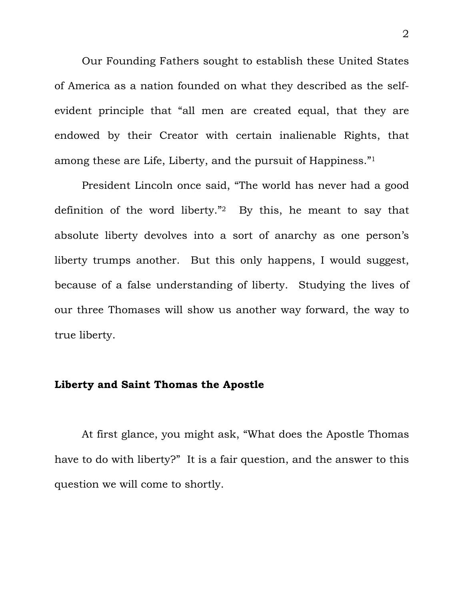Our Founding Fathers sought to establish these United States of America as a nation founded on what they described as the selfevident principle that "all men are created equal, that they are endowed by their Creator with certain inalienable Rights, that among these are Life, Liberty, and the pursuit of Happiness."1

President Lincoln once said, "The world has never had a good definition of the word liberty."2 By this, he meant to say that absolute liberty devolves into a sort of anarchy as one person's liberty trumps another. But this only happens, I would suggest, because of a false understanding of liberty. Studying the lives of our three Thomases will show us another way forward, the way to true liberty.

## **Liberty and Saint Thomas the Apostle**

 At first glance, you might ask, "What does the Apostle Thomas have to do with liberty?" It is a fair question, and the answer to this question we will come to shortly.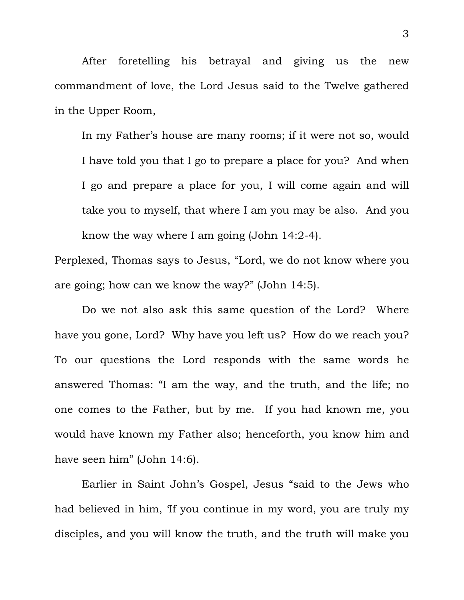After foretelling his betrayal and giving us the new commandment of love, the Lord Jesus said to the Twelve gathered in the Upper Room,

In my Father's house are many rooms; if it were not so, would I have told you that I go to prepare a place for you? And when I go and prepare a place for you, I will come again and will take you to myself, that where I am you may be also. And you know the way where I am going (John 14:2-4).

Perplexed, Thomas says to Jesus, "Lord, we do not know where you are going; how can we know the way?" (John 14:5).

 Do we not also ask this same question of the Lord? Where have you gone, Lord? Why have you left us? How do we reach you? To our questions the Lord responds with the same words he answered Thomas: "I am the way, and the truth, and the life; no one comes to the Father, but by me. If you had known me, you would have known my Father also; henceforth, you know him and have seen him" (John 14:6).

Earlier in Saint John's Gospel, Jesus "said to the Jews who had believed in him, 'If you continue in my word, you are truly my disciples, and you will know the truth, and the truth will make you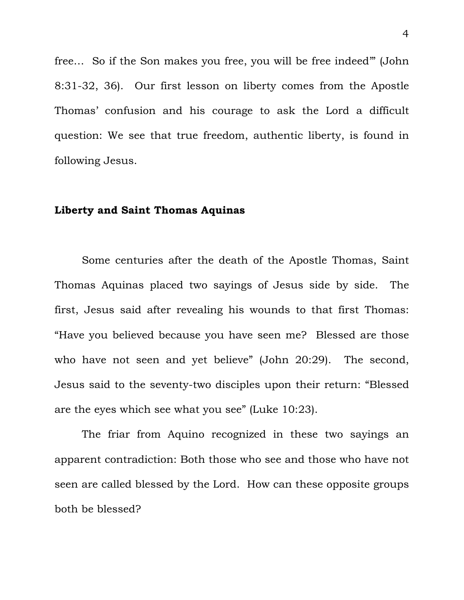free… So if the Son makes you free, you will be free indeed'" (John 8:31-32, 36). Our first lesson on liberty comes from the Apostle Thomas' confusion and his courage to ask the Lord a difficult question: We see that true freedom, authentic liberty, is found in following Jesus.

# **Liberty and Saint Thomas Aquinas**

 Some centuries after the death of the Apostle Thomas, Saint Thomas Aquinas placed two sayings of Jesus side by side. The first, Jesus said after revealing his wounds to that first Thomas: "Have you believed because you have seen me? Blessed are those who have not seen and yet believe" (John 20:29). The second, Jesus said to the seventy-two disciples upon their return: "Blessed are the eyes which see what you see" (Luke 10:23).

The friar from Aquino recognized in these two sayings an apparent contradiction: Both those who see and those who have not seen are called blessed by the Lord. How can these opposite groups both be blessed?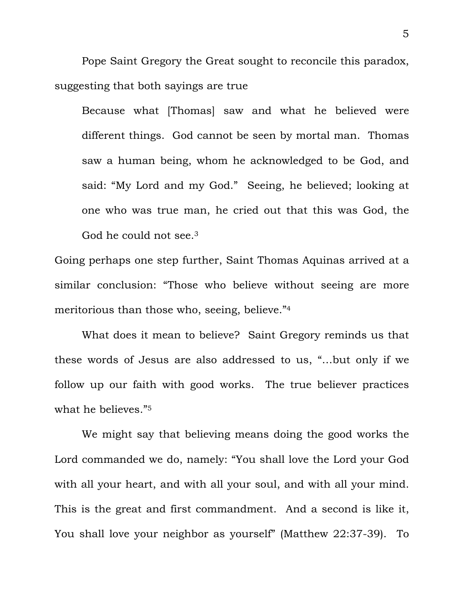Pope Saint Gregory the Great sought to reconcile this paradox, suggesting that both sayings are true

Because what [Thomas] saw and what he believed were different things. God cannot be seen by mortal man. Thomas saw a human being, whom he acknowledged to be God, and said: "My Lord and my God." Seeing, he believed; looking at one who was true man, he cried out that this was God, the God he could not see.3

Going perhaps one step further, Saint Thomas Aquinas arrived at a similar conclusion: "Those who believe without seeing are more meritorious than those who, seeing, believe."4

 What does it mean to believe? Saint Gregory reminds us that these words of Jesus are also addressed to us, "…but only if we follow up our faith with good works. The true believer practices what he believes."5

We might say that believing means doing the good works the Lord commanded we do, namely: "You shall love the Lord your God with all your heart, and with all your soul, and with all your mind. This is the great and first commandment. And a second is like it, You shall love your neighbor as yourself" (Matthew 22:37-39). To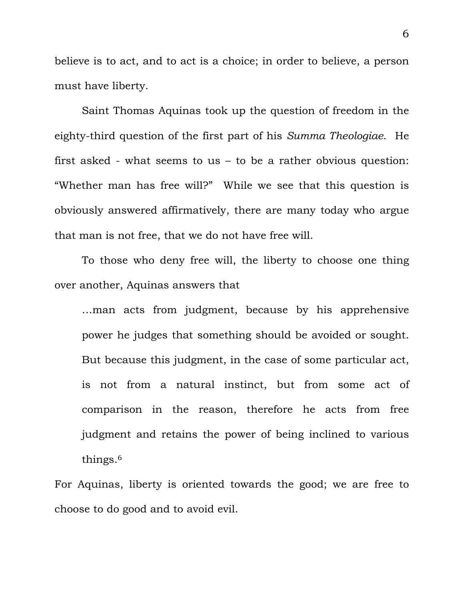believe is to act, and to act is a choice; in order to believe, a person must have liberty.

Saint Thomas Aquinas took up the question of freedom in the eighty-third question of the first part of his *Summa Theologiae*. He first asked - what seems to us – to be a rather obvious question: "Whether man has free will?" While we see that this question is obviously answered affirmatively, there are many today who argue that man is not free, that we do not have free will.

 To those who deny free will, the liberty to choose one thing over another, Aquinas answers that

…man acts from judgment, because by his apprehensive power he judges that something should be avoided or sought. But because this judgment, in the case of some particular act, is not from a natural instinct, but from some act of comparison in the reason, therefore he acts from free judgment and retains the power of being inclined to various things.6

For Aquinas, liberty is oriented towards the good; we are free to choose to do good and to avoid evil.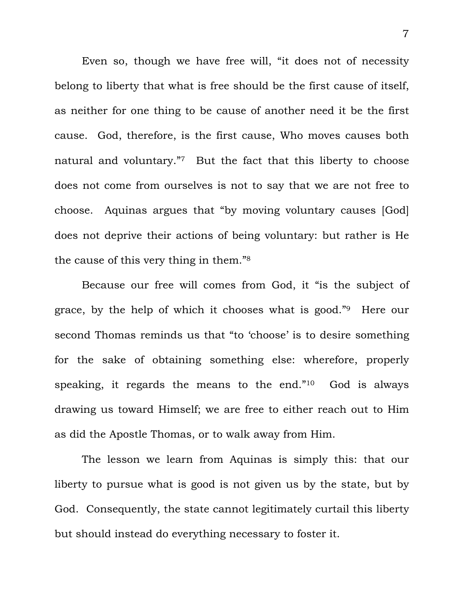Even so, though we have free will, "it does not of necessity belong to liberty that what is free should be the first cause of itself, as neither for one thing to be cause of another need it be the first cause. God, therefore, is the first cause, Who moves causes both natural and voluntary."7 But the fact that this liberty to choose does not come from ourselves is not to say that we are not free to choose. Aquinas argues that "by moving voluntary causes [God] does not deprive their actions of being voluntary: but rather is He the cause of this very thing in them."8

 Because our free will comes from God, it "is the subject of grace, by the help of which it chooses what is good."9 Here our second Thomas reminds us that "to 'choose' is to desire something for the sake of obtaining something else: wherefore, properly speaking, it regards the means to the end."10 God is always drawing us toward Himself; we are free to either reach out to Him as did the Apostle Thomas, or to walk away from Him.

 The lesson we learn from Aquinas is simply this: that our liberty to pursue what is good is not given us by the state, but by God. Consequently, the state cannot legitimately curtail this liberty but should instead do everything necessary to foster it.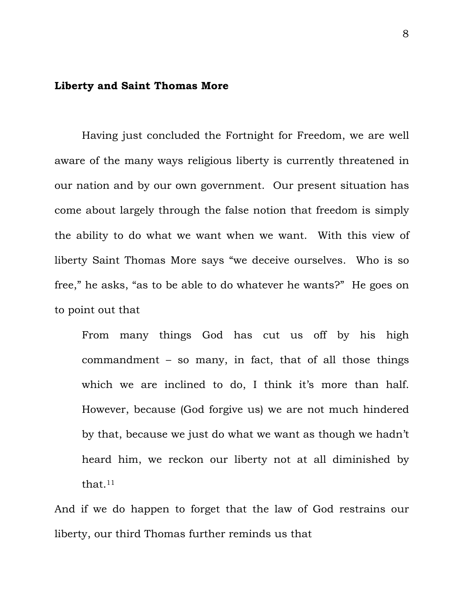## **Liberty and Saint Thomas More**

 Having just concluded the Fortnight for Freedom, we are well aware of the many ways religious liberty is currently threatened in our nation and by our own government. Our present situation has come about largely through the false notion that freedom is simply the ability to do what we want when we want. With this view of liberty Saint Thomas More says "we deceive ourselves. Who is so free," he asks, "as to be able to do whatever he wants?" He goes on to point out that

From many things God has cut us off by his high commandment – so many, in fact, that of all those things which we are inclined to do, I think it's more than half. However, because (God forgive us) we are not much hindered by that, because we just do what we want as though we hadn't heard him, we reckon our liberty not at all diminished by that.11

And if we do happen to forget that the law of God restrains our liberty, our third Thomas further reminds us that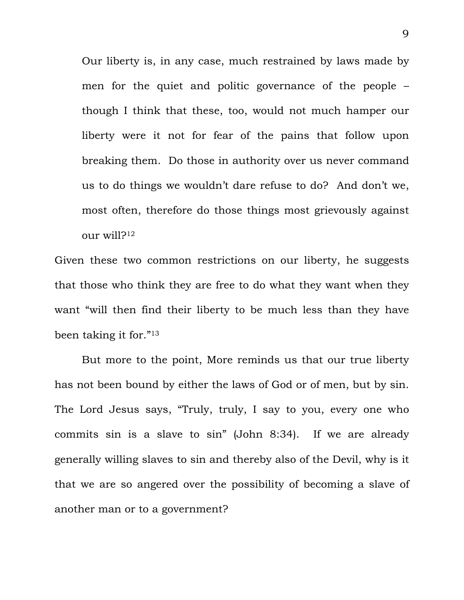Our liberty is, in any case, much restrained by laws made by men for the quiet and politic governance of the people – though I think that these, too, would not much hamper our liberty were it not for fear of the pains that follow upon breaking them. Do those in authority over us never command us to do things we wouldn't dare refuse to do? And don't we, most often, therefore do those things most grievously against  $_{\text{OUIT}}$  will?<sup>12</sup>

Given these two common restrictions on our liberty, he suggests that those who think they are free to do what they want when they want "will then find their liberty to be much less than they have been taking it for."13

 But more to the point, More reminds us that our true liberty has not been bound by either the laws of God or of men, but by sin. The Lord Jesus says, "Truly, truly, I say to you, every one who commits sin is a slave to sin" (John 8:34). If we are already generally willing slaves to sin and thereby also of the Devil, why is it that we are so angered over the possibility of becoming a slave of another man or to a government?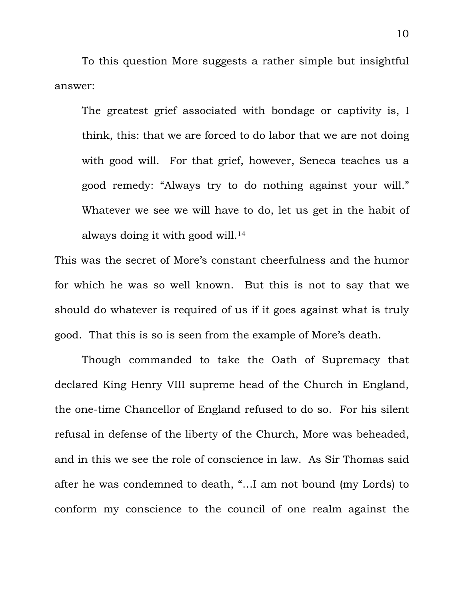To this question More suggests a rather simple but insightful answer:

The greatest grief associated with bondage or captivity is, I think, this: that we are forced to do labor that we are not doing with good will. For that grief, however, Seneca teaches us a good remedy: "Always try to do nothing against your will." Whatever we see we will have to do, let us get in the habit of always doing it with good will.<sup>14</sup>

This was the secret of More's constant cheerfulness and the humor for which he was so well known. But this is not to say that we should do whatever is required of us if it goes against what is truly good. That this is so is seen from the example of More's death.

 Though commanded to take the Oath of Supremacy that declared King Henry VIII supreme head of the Church in England, the one-time Chancellor of England refused to do so. For his silent refusal in defense of the liberty of the Church, More was beheaded, and in this we see the role of conscience in law. As Sir Thomas said after he was condemned to death, "…I am not bound (my Lords) to conform my conscience to the council of one realm against the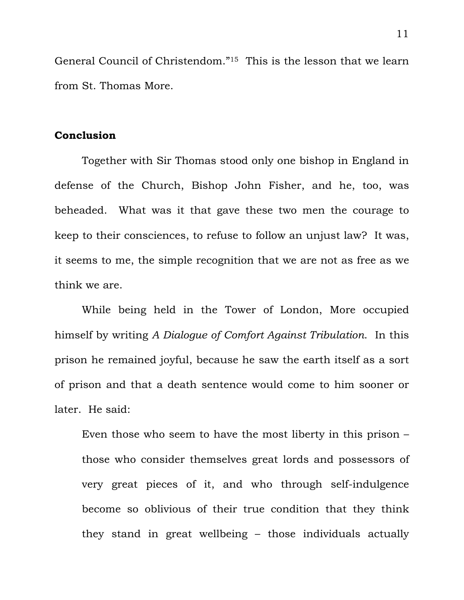General Council of Christendom."15 This is the lesson that we learn from St. Thomas More.

# **Conclusion**

 Together with Sir Thomas stood only one bishop in England in defense of the Church, Bishop John Fisher, and he, too, was beheaded. What was it that gave these two men the courage to keep to their consciences, to refuse to follow an unjust law? It was, it seems to me, the simple recognition that we are not as free as we think we are.

 While being held in the Tower of London, More occupied himself by writing *A Dialogue of Comfort Against Tribulation*. In this prison he remained joyful, because he saw the earth itself as a sort of prison and that a death sentence would come to him sooner or later. He said:

Even those who seem to have the most liberty in this prison – those who consider themselves great lords and possessors of very great pieces of it, and who through self-indulgence become so oblivious of their true condition that they think they stand in great wellbeing – those individuals actually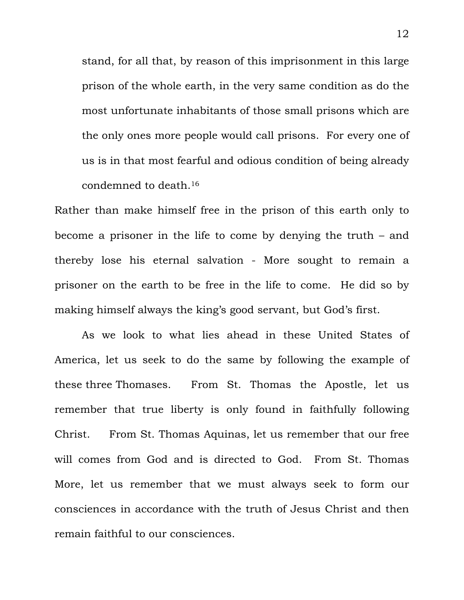stand, for all that, by reason of this imprisonment in this large prison of the whole earth, in the very same condition as do the most unfortunate inhabitants of those small prisons which are the only ones more people would call prisons. For every one of us is in that most fearful and odious condition of being already condemned to death.16

Rather than make himself free in the prison of this earth only to become a prisoner in the life to come by denying the truth – and thereby lose his eternal salvation - More sought to remain a prisoner on the earth to be free in the life to come. He did so by making himself always the king's good servant, but God's first.

 As we look to what lies ahead in these United States of America, let us seek to do the same by following the example of these three Thomases. From St. Thomas the Apostle, let us remember that true liberty is only found in faithfully following Christ. From St. Thomas Aquinas, let us remember that our free will comes from God and is directed to God. From St. Thomas More, let us remember that we must always seek to form our consciences in accordance with the truth of Jesus Christ and then remain faithful to our consciences.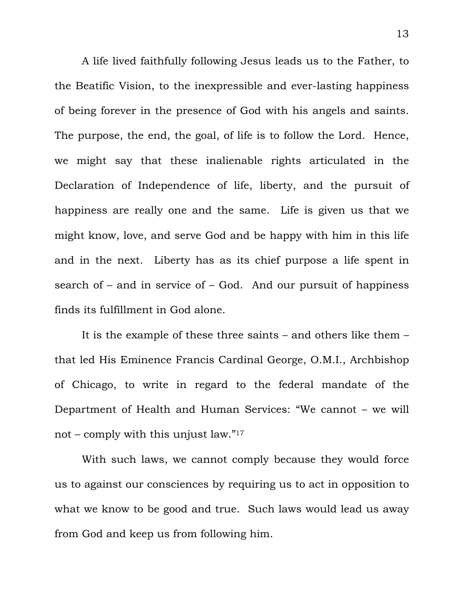A life lived faithfully following Jesus leads us to the Father, to the Beatific Vision, to the inexpressible and ever-lasting happiness of being forever in the presence of God with his angels and saints. The purpose, the end, the goal, of life is to follow the Lord. Hence, we might say that these inalienable rights articulated in the Declaration of Independence of life, liberty, and the pursuit of happiness are really one and the same. Life is given us that we might know, love, and serve God and be happy with him in this life and in the next. Liberty has as its chief purpose a life spent in search of  $-$  and in service of  $-$  God. And our pursuit of happiness finds its fulfillment in God alone.

 It is the example of these three saints – and others like them – that led His Eminence Francis Cardinal George, O.M.I., Archbishop of Chicago, to write in regard to the federal mandate of the Department of Health and Human Services: "We cannot – we will not – comply with this unjust law."17

 With such laws, we cannot comply because they would force us to against our consciences by requiring us to act in opposition to what we know to be good and true. Such laws would lead us away from God and keep us from following him.